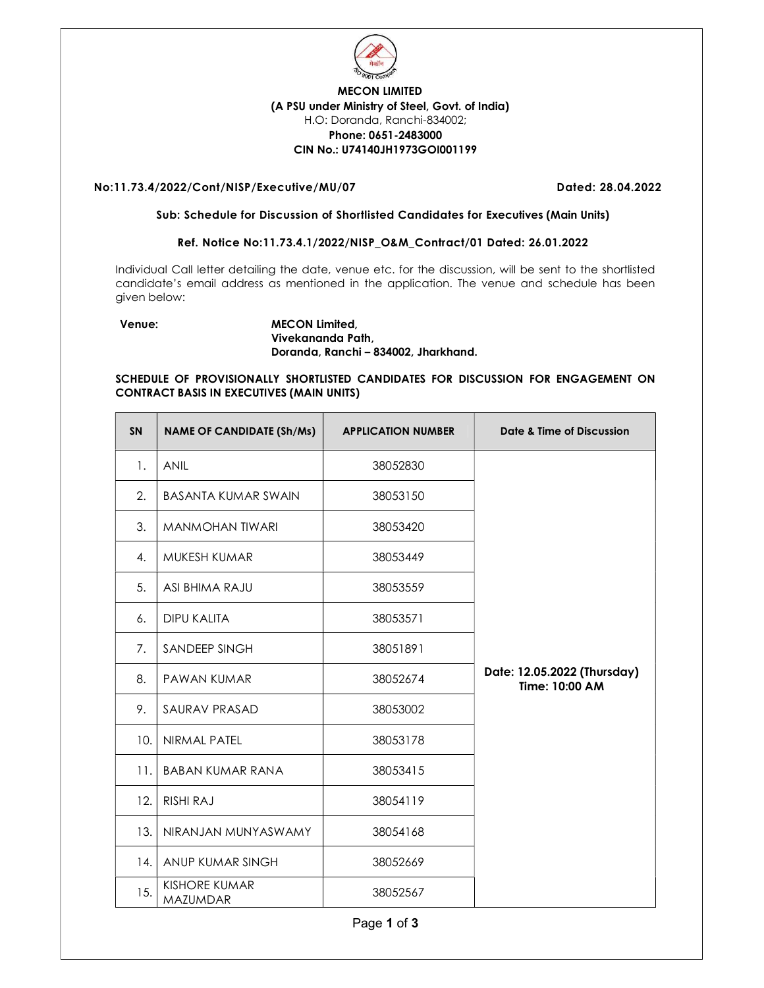

## MECON LIMITED (A PSU under Ministry of Steel, Govt. of India) H.O: Doranda, Ranchi-834002; Phone: 0651-2483000 CIN No.: U74140JH1973GOI001199

### No:11.73.4/2022/Cont/NISP/Executive/MU/07 Dated: 28.04.2022

#### Sub: Schedule for Discussion of Shortlisted Candidates for Executives (Main Units)

### Ref. Notice No:11.73.4.1/2022/NISP\_O&M\_Contract/01 Dated: 26.01.2022

Individual Call letter detailing the date, venue etc. for the discussion, will be sent to the shortlisted candidate's email address as mentioned in the application. The venue and schedule has been given below:

### Venue: MECON Limited, Vivekananda Path, Doranda, Ranchi – 834002, Jharkhand.

### SCHEDULE OF PROVISIONALLY SHORTLISTED CANDIDATES FOR DISCUSSION FOR ENGAGEMENT ON CONTRACT BASIS IN EXECUTIVES (MAIN UNITS)

| <b>SN</b> | <b>NAME OF CANDIDATE (Sh/Ms)</b>        | <b>APPLICATION NUMBER</b> | Date & Time of Discussion                     |
|-----------|-----------------------------------------|---------------------------|-----------------------------------------------|
| 1.        | <b>ANIL</b>                             | 38052830                  |                                               |
| 2.        | <b>BASANTA KUMAR SWAIN</b>              | 38053150                  |                                               |
| 3.        | <b>MANMOHAN TIWARI</b>                  | 38053420                  |                                               |
| 4.        | MUKESH KUMAR                            | 38053449                  |                                               |
| 5.        | ASI BHIMA RAJU                          | 38053559                  |                                               |
| 6.        | <b>DIPU KALITA</b>                      | 38053571                  |                                               |
| 7.        | SANDEEP SINGH                           | 38051891                  |                                               |
| 8.        | <b>PAWAN KUMAR</b>                      | 38052674                  | Date: 12.05.2022 (Thursday)<br>Time: 10:00 AM |
| 9.        | SAURAV PRASAD                           | 38053002                  |                                               |
| 10.       | NIRMAL PATEL                            | 38053178                  |                                               |
| 11.       | <b>BABAN KUMAR RANA</b>                 | 38053415                  |                                               |
| 12.       | <b>RISHI RAJ</b>                        | 38054119                  |                                               |
| 13.       | NIRANJAN MUNYASWAMY                     | 38054168                  |                                               |
| 14.       | ANUP KUMAR SINGH                        | 38052669                  |                                               |
| 15.       | <b>KISHORE KUMAR</b><br><b>MAZUMDAR</b> | 38052567                  |                                               |

Page 1 of 3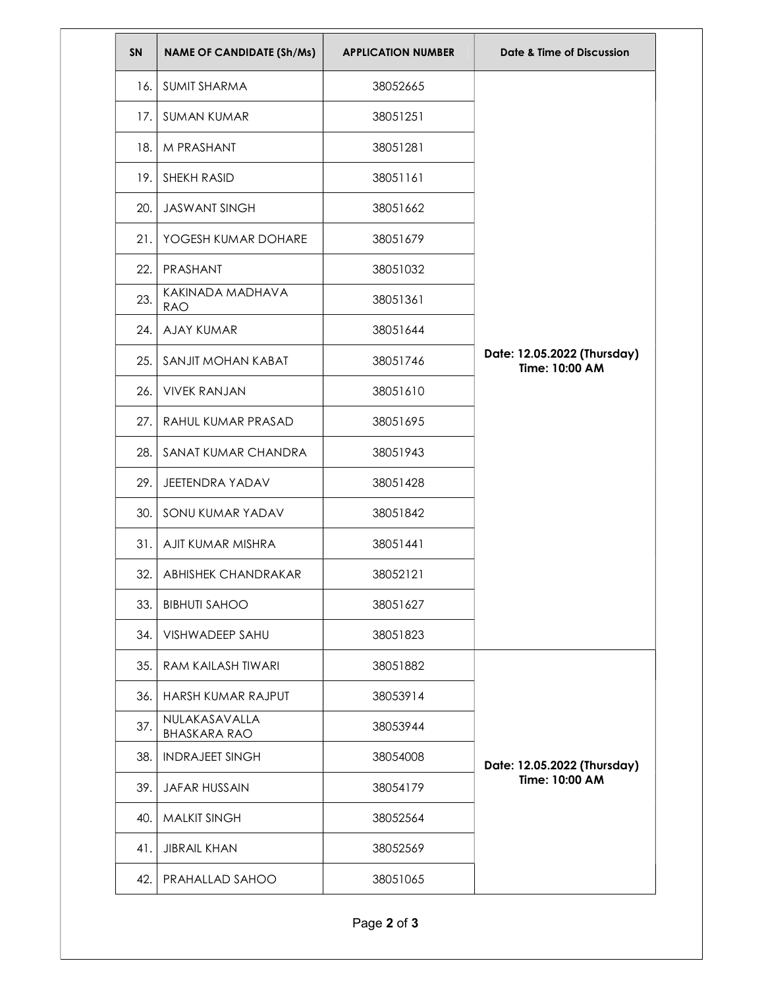| <b>SN</b> | <b>NAME OF CANDIDATE (Sh/Ms)</b>     | <b>APPLICATION NUMBER</b> | Date & Time of Discussion                     |
|-----------|--------------------------------------|---------------------------|-----------------------------------------------|
| 16.       | <b>SUMIT SHARMA</b>                  | 38052665                  |                                               |
| 17.       | <b>SUMAN KUMAR</b>                   | 38051251                  |                                               |
| 18.1      | M PRASHANT                           | 38051281                  |                                               |
| 19.1      | SHEKH RASID                          | 38051161                  |                                               |
| 20.       | <b>JASWANT SINGH</b>                 | 38051662                  |                                               |
| 21.       | YOGESH KUMAR DOHARE                  | 38051679                  |                                               |
| 22.       | PRASHANT                             | 38051032                  |                                               |
| 23.       | KAKINADA MADHAVA<br><b>RAO</b>       | 38051361                  |                                               |
| 24.       | <b>AJAY KUMAR</b>                    | 38051644                  |                                               |
| 25.       | SANJIT MOHAN KABAT                   | 38051746                  | Date: 12.05.2022 (Thursday)<br>Time: 10:00 AM |
| 26.       | <b>VIVEK RANJAN</b>                  | 38051610                  |                                               |
| 27.1      | RAHUL KUMAR PRASAD                   | 38051695                  |                                               |
| 28.1      | SANAT KUMAR CHANDRA                  | 38051943                  |                                               |
| 29.       | JEETENDRA YADAV                      | 38051428                  |                                               |
| 30.       | SONU KUMAR YADAV                     | 38051842                  |                                               |
|           | 31. AJIT KUMAR MISHRA                | 38051441                  |                                               |
|           | 32. ABHISHEK CHANDRAKAR              | 38052121                  |                                               |
| 33.       | <b>BIBHUTI SAHOO</b>                 | 38051627                  |                                               |
| 34.       | VISHWADEEP SAHU                      | 38051823                  |                                               |
| 35.       | <b>RAM KAILASH TIWARI</b>            | 38051882                  | Date: 12.05.2022 (Thursday)<br>Time: 10:00 AM |
| 36.       | HARSH KUMAR RAJPUT                   | 38053914                  |                                               |
| 37.       | NULAKASAVALLA<br><b>BHASKARA RAO</b> | 38053944                  |                                               |
| 38.       | <b>INDRAJEET SINGH</b>               | 38054008                  |                                               |
| 39.       | <b>JAFAR HUSSAIN</b>                 | 38054179                  |                                               |
| 40.       | <b>MALKIT SINGH</b>                  | 38052564                  |                                               |
| 41.       | <b>JIBRAIL KHAN</b>                  | 38052569                  |                                               |
| 42.1      | PRAHALLAD SAHOO                      | 38051065                  |                                               |